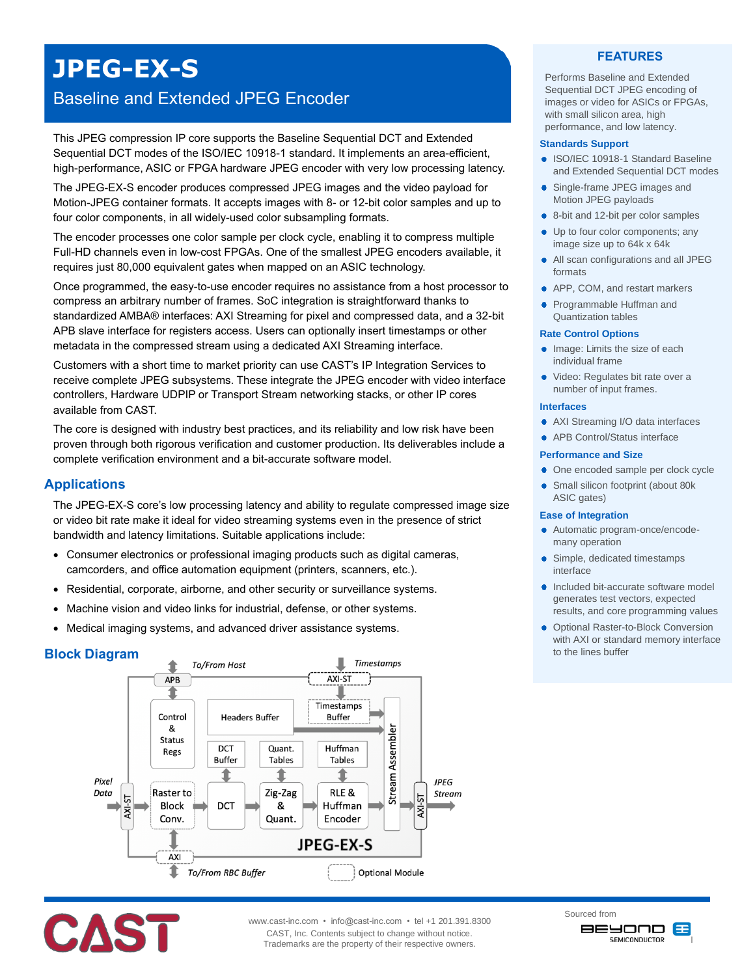# **JPEG-EX-S**

## Baseline and Extended JPEG Encoder

This JPEG compression IP core supports the Baseline Sequential DCT and Extended Sequential DCT modes of the ISO/IEC 10918-1 standard. It implements an area-efficient, high-performance, ASIC or FPGA hardware JPEG encoder with very low processing latency.

The JPEG-EX-S encoder produces compressed JPEG images and the video payload for Motion-JPEG container formats. It accepts images with 8- or 12-bit color samples and up to four color components, in all widely-used color subsampling formats.

The encoder processes one color sample per clock cycle, enabling it to compress multiple Full-HD channels even in low-cost FPGAs. One of the smallest JPEG encoders available, it requires just 80,000 equivalent gates when mapped on an ASIC technology.

Once programmed, the easy-to-use encoder requires no assistance from a host processor to compress an arbitrary number of frames. SoC integration is straightforward thanks to standardized AMBA® interfaces: AXI Streaming for pixel and compressed data, and a 32-bit APB slave interface for registers access. Users can optionally insert timestamps or other metadata in the compressed stream using a dedicated AXI Streaming interface.

Customers with a short time to market priority can use CAST's IP Integration Services to receive complete JPEG subsystems. These integrate the JPEG encoder with video interface controllers, Hardware UDPIP or Transport Stream networking stacks, or other IP cores available from CAST.

The core is designed with industry best practices, and its reliability and low risk have been proven through both rigorous verification and customer production. Its deliverables include a complete verification environment and a bit-accurate software model.

## **Applications**

The JPEG-EX-S core's low processing latency and ability to regulate compressed image size or video bit rate make it ideal for video streaming systems even in the presence of strict bandwidth and latency limitations. Suitable applications include:

- Consumer electronics or professional imaging products such as digital cameras, camcorders, and office automation equipment (printers, scanners, etc.).
- Residential, corporate, airborne, and other security or surveillance systems.
- Machine vision and video links for industrial, defense, or other systems.
- Medical imaging systems, and advanced driver assistance systems.

## **Block Diagram**





### **FEATURES**

Performs Baseline and Extended Sequential DCT JPEG encoding of images or video for ASICs or FPGAs, with small silicon area, high performance, and low latency.

#### **Standards Support**

- ISO/IEC 10918-1 Standard Baseline and Extended Sequential DCT modes
- Single-frame JPEG images and Motion JPEG payloads
- 8-bit and 12-bit per color samples ٠
- Up to four color components; any ٠ image size up to 64k x 64k
- All scan configurations and all JPEG ٠ formats
- APP, COM, and restart markers
- Programmable Huffman and Quantization tables

#### **Rate Control Options**

- Image: Limits the size of each individual frame
- Video: Regulates bit rate over a number of input frames.

#### **Interfaces**

- AXI Streaming I/O data interfaces
- APB Control/Status interface

#### **Performance and Size**

- One encoded sample per clock cycle
- **Small silicon footprint (about 80k** ASIC gates)

#### **Ease of Integration**

- Automatic program-once/encodemany operation
- Simple, dedicated timestamps interface
- Included bit-accurate software model generates test vectors, expected results, and core programming values
- **Optional Raster-to-Block Conversion** with AXI or standard memory interface to the lines buffer